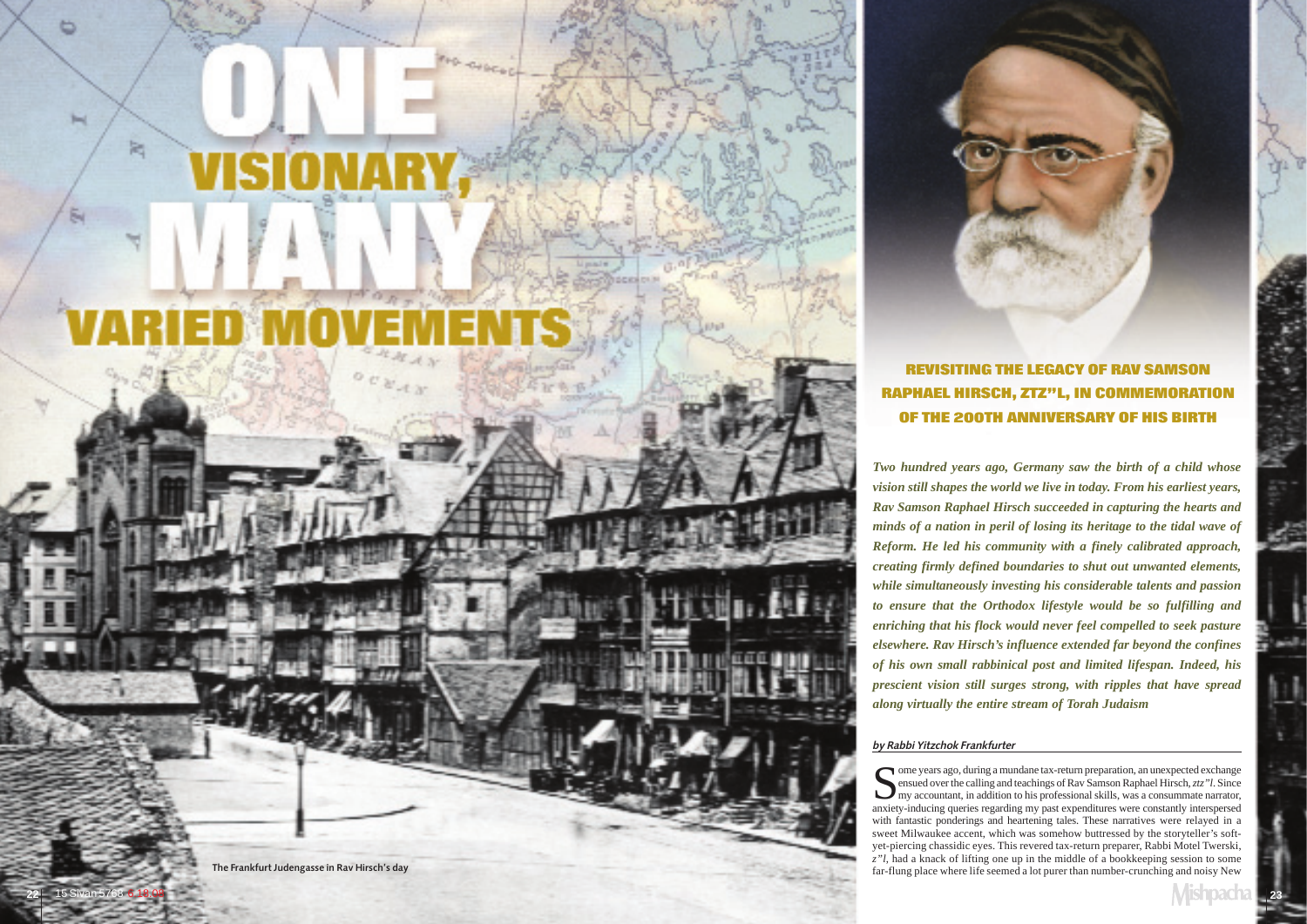OPECH

# by Rabbi Yitzchok Frankfurter

Ome years ago, during a mundane tax-return preparation, an unexpected exchange<br>ensued over the calling and teachings of Rav Samson Raphael Hirsch, *ztz*"*l*. Since<br>my accountant, in addition to his professional skills, was anxiety-inducing queries regarding my past expenditures were constantly interspersed with fantastic ponderings and heartening tales. These narratives were relayed in a sweet Milwaukee accent, which was somehow buttressed by the storyteller's softyet-piercing chassidic eyes. This revered tax-return preparer, Rabbi Motel Twerski, *<sup>z</sup>"l*, had a knack of lifting one up in the middle of a bookkeeping session to some far-flung place where life seemed a lot purer than number-crunching and noisy New

b

**Bod** 

闣

*Two hundred years ago, Germany saw the birth of a child whose vision still shapes the world we live in today. From his earliest years, Rav Samson Raphael Hirsch succeeded in capturing the hearts and minds of a nation in peril of losing its heritage to the tidal wave of Reform. He led his community with a finely calibrated approach, creating firmly defined boundaries to shut out unwanted elements, while simultaneously investing his considerable talents and passion to ensure that the Orthodox lifestyle would be so fulfilling and enriching that his flock would never feel compelled to seek pasture elsewhere. Rav Hirsch's influence extended far beyond the confines of his own small rabbinical post and limited lifespan. Indeed, his prescient vision still surges strong, with ripples that have spread along virtually the entire stream of Torah Judaism* 

# REVISITING THE LEGACY OF RAV SAMSON RAPHAEL HIRSCH, ZTZ"L, IN COMMEMORATION OF THE 200TH ANNIVERSARY OF HIS BIRTH

The Frankfurt Judengasse in Rav Hirsch's day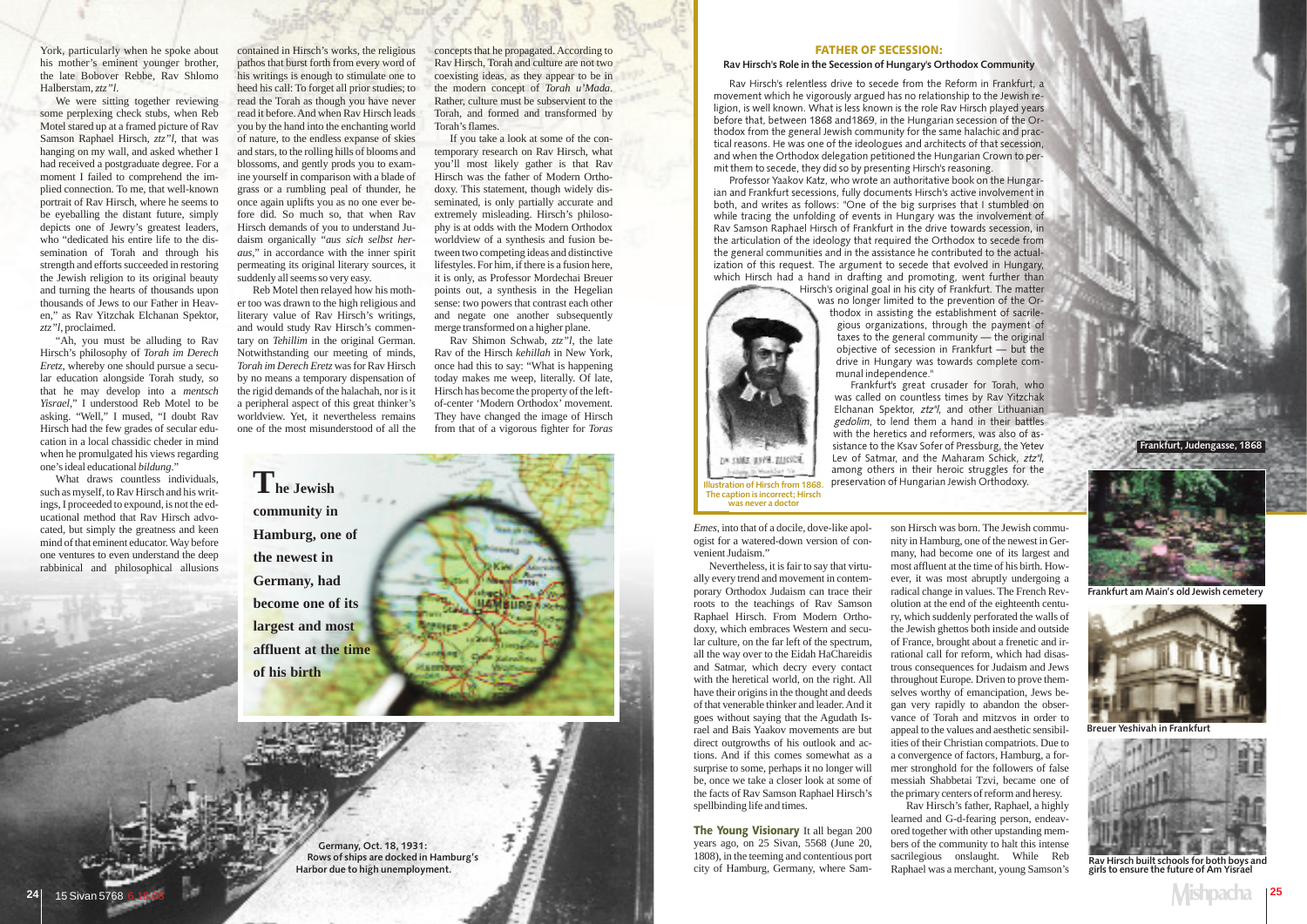*Emes*, into that of a docile, dove-like apologist for a watered-down version of convenient Judaism."

Nevertheless, it is fair to say that virtually every trend and movement in contemporary Orthodox Judaism can trace their roots to the teachings of Rav Samson Raphael Hirsch. From Modern Orthodoxy, which embraces Western and secular culture, on the far left of the spectrum, all the way over to the Eidah HaChareidis and Satmar, which decry every contact with the heretical world, on the right. All have their origins in the thought and deeds of that venerable thinker and leader. And it goes without saying that the Agudath Israel and Bais Yaakov movements are but direct outgrowths of his outlook and actions. And if this comes somewhat as a surprise to some, perhaps it no longer will be, once we take a closer look at some of the facts of Rav Samson Raphael Hirsch's spellbinding life and times.

The Young Visionary It all began 200 years ago, on 25 Sivan, 5568 (June 20, 1808), in the teeming and contentious port city of Hamburg, Germany, where Samson Hirsch was born. The Jewish commu nity in Hamburg, one of the newest in Ger many, had become one of its largest and most affluent at the time of his birth. How ever, it was most abruptly undergoing a radical change in values. The French Rev olution at the end of the eighteenth centu ry, which suddenly perforated the walls of the Jewish ghettos both inside and outside of France, brought about a frenetic and ir rational call for reform, which had disas trous consequences for Judaism and Jews throughout Europe. Driven to prove them selves worthy of emancipation, Jews be gan very rapidly to abandon the obser vance of Torah and mitzvos in order to appeal to the values and aesthetic sensibil ities of their Christian compatriots. Due to a convergence of factors, Hamburg, a for mer stronghold for the followers of false messiah Shabbetai Tzvi, became one of the primary centers of reform and heresy.

Rav Hirsch's father, Raphael, a highly learned and G-d-fearing person, endeav ored together with other upstanding mem bers of the community to halt this intense sacrilegious onslaught. While Reb Raphael was a merchant, young Samson's

### FATHER OF SECESSION:

### Rav Hirsch's Role in the Secession of Hungary's Orthodox Community

Rav Hirsch's relentless drive to secede from the Reform in Frankfurt, a movement which he vigorously argued has no relationship to the Jewish religion, is well known. What is less known is the role Rav Hirsch played years before that, between 1868 and1869, in the Hungarian secession of the Orthodox from the general Jewish community for the same halachic and practical reasons. He was one of the ideologues and architects of that secession, and when the Orthodox delegation petitioned the Hungarian Crown to permit them to secede, they did so by presenting Hirsch's reasoning.

We were sitting together reviewing some perplexing check stubs, when Reb Motel stared up at a framed picture of Rav Samson Raphael Hirsch, *ztz"l*, that was hanging on my wall, and asked whether I had received a postgraduate degree. For a moment I failed to comprehend the implied connection. To me, that well-known portrait of Rav Hirsch, where he seems to be eyeballing the distant future, simply depicts one of Jewry's greatest leaders, who "dedicated his entire life to the dissemination of Torah and through his strength and efforts succeeded in restoring the Jewish religion to its original beauty and turning the hearts of thousands upon thousands of Jews to our Father in Heaven," as Rav Yitzchak Elchanan Spektor, *ztz"l*, proclaimed.

What draws countless individuals, such as myself, to Rav Hirsch and his writings, I proceeded to expound, is not the educational method that Rav Hirsch advocated, but simply the greatness and keen mind of that eminent educator. Way before one ventures to even understand the deep rabbinical and philosophical allusions

Professor Yaakov Katz, who wrote an authoritative book on the Hungarian and Frankfurt secessions, fully documents Hirsch's active involvement in both, and writes as follows: "One of the big surprises that I stumbled on while tracing the unfolding of events in Hungary was the involvement of Rav Samson Raphael Hirsch of Frankfurt in the drive towards secession, in the articulation of the ideology that required the Orthodox to secede from the general communities and in the assistance he contributed to the actualization of this request. The argument to secede that evolved in Hungary. which Hirsch had a hand in drafting and promoting, went further than

Hirsch's original goal in his city of Frankfurt. The matter was no longer limited to the prevention of the Or-

thodox in assisting the establishment of sacrilegious organizations, through the payment of taxes to the general community — the original objective of secession in Frankfurt — but the drive in Hungary was towards complete communal independence."

Frankfurt's great crusader for Torah, who was called on countless times by Rav Yitzchak Elchanan Spektor, ztz"l, and other Lithuanian gedolim, to lend them a hand in their battles with the heretics and reformers, was also of assistance to the Ksav Sofer of Pressburg, the Yetev Lev of Satmar, and the Maharam Schick, ztz"l, among others in their heroic struggles for the preservation of Hungarian Jewish Orthodoxy.

York, particularly when he spoke about his mother's eminent younger brother, the late Bobover Rebbe, Rav Shlomo Halberstam, *ztz"l*.

"Ah, you must be alluding to Rav Hirsch's philosophy of *Torah im Derech Eretz*, whereby one should pursue a secular education alongside Torah study, so that he may develop into a *mentsch Yisrael*," I understood Reb Motel to be asking. "Well," I mused, "I doubt Rav Hirsch had the few grades of secular education in a local chassidic cheder in mind when he promulgated his views regarding one's ideal educational *bildung*."

contained in Hirsch's works, the religious pathos that burst forth from every word of his writings is enough to stimulate one to heed his call: To forget all prior studies; to read the Torah as though you have never read it before. And when Rav Hirsch leads you by the hand into the enchanting world of nature, to the endless expanse of skies and stars, to the rolling hills of blooms and blossoms, and gently prods you to examine yourself in comparison with a blade of grass or a rumbling peal of thunder, he once again uplifts you as no one ever before did. So much so, that when Rav Hirsch demands of you to understand Judaism organically "*aus sich selbst heraus*," in accordance with the inner spirit permeating its original literary sources, it suddenly all seems so very easy.

Reb Motel then relayed how his mother too was drawn to the high religious and literary value of Rav Hirsch's writings, and would study Rav Hirsch's commentary on *Tehillim* in the original German. Notwithstanding our meeting of minds, *Torah im Derech Eretz* was for Rav Hirsch by no means a temporary dispensation of the rigid demands of the halachah, nor is it a peripheral aspect of this great thinker's worldview. Yet, it nevertheless remains one of the most misunderstood of all the concepts that he propagated. According to Rav Hirsch, Torah and culture are not two coexisting ideas, as they appear to be in the modern concept of *Torah u'Mada*. Rather, culture must be subservient to the Torah, and formed and transformed by Torah's flames.

If you take a look at some of the contemporary research on Rav Hirsch, what you'll most likely gather is that Rav Hirsch was the father of Modern Orthodoxy. This statement, though widely disseminated, is only partially accurate and extremely misleading. Hirsch's philosophy is at odds with the Modern Orthodox worldview of a synthesis and fusion between two competing ideas and distinctive lifestyles. For him, if there is a fusion here, it is only, as Professor Mordechai Breuer points out, a synthesis in the Hegelian sense: two powers that contrast each other and negate one another subsequently merge transformed on a higher plane.

Rav Shimon Schwab, *ztz"l*, the late Rav of the Hirsch *kehillah* in New York, once had this to say: "What is happening today makes me weep, literally. Of late, Hirsch has become the property of the leftof-center 'Modern Orthodox' movement. They have changed the image of Hirsch from that of a vigorous fighter for *Toras*



Germany, Oct. 18, 1931: Rows of ships are docked in Hamburg's Harbor due to high unemployment.

Frankfurt, Judengasse, 1868



Frankfurt am Main's old Jewish cemetery



Breuer Yeshivah in Frankfurt

Illustration of Hirsch from 1868. The caption is incorrect; Hirsch was never a doctor

DA SMIS JUVA. TUCCH.



Rav Hirsch built schools for both boys and girls to ensure the future of Am Yisrael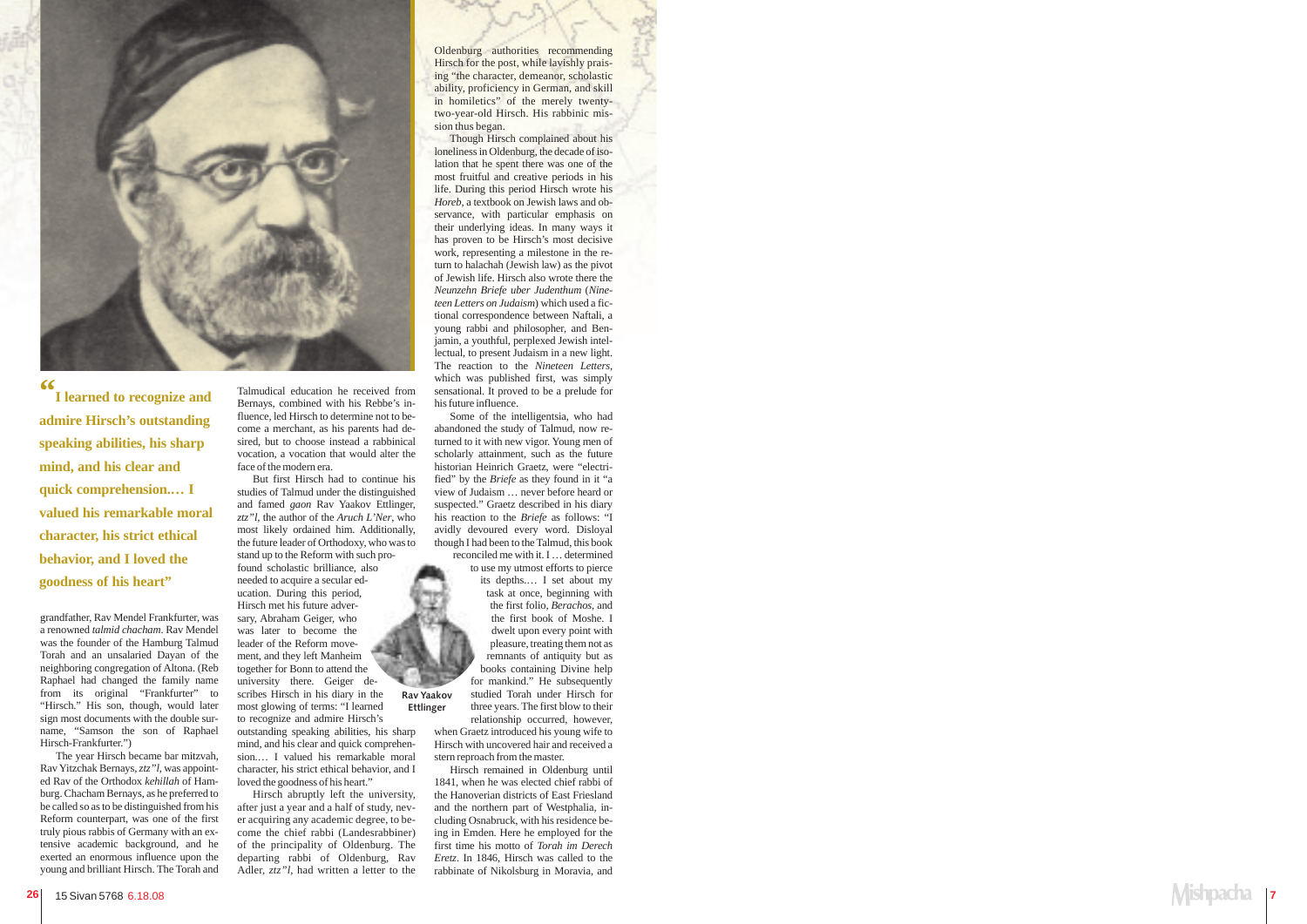# Mishpacha I **7**

grandfather, Rav Mendel Frankfurter, was a renowned *talmid chacham*. Rav Mendel was the founder of the Hamburg Talmud Torah and an unsalaried Dayan of the neighboring congregation of Altona. (Reb Raphael had changed the family name from its original "Frankfurter" to "Hirsch." His son, though, would later sign most documents with the double surname, "Samson the son of Raphael Hirsch-Frankfurter.")

The year Hirsch became bar mitzvah, Rav Yitzchak Bernays, *ztz"l*, was appointed Rav of the Orthodox *kehillah* of Hamburg. Chacham Bernays, as he preferred to be called so as to be distinguished from his Reform counterpart, was one of the first truly pious rabbis of Germany with an extensive academic background, and he exerted an enormous influence upon the young and brilliant Hirsch. The Torah and

Talmudical education he received from Bernays, combined with his Rebbe's influence, led Hirsch to determine not to become a merchant, as his parents had desired, but to choose instead a rabbinical vocation, a vocation that would alter the face of the modern era.

But first Hirsch had to continue his studies of Talmud under the distinguished and famed *gaon* Rav Yaakov Ettlinger, *ztz"l*, the author of the *Aruch L'Ner*, who most likely ordained him. Additionally, the future leader of Orthodoxy, who was to stand up to the Reform with such pro-

found scholastic brilliance, also needed to acquire a secular education. During this period, Hirsch met his future adversary, Abraham Geiger, who was later to become the leader of the Reform movement, and they left Manheim together for Bonn to attend the university there. Geiger describes Hirsch in his diary in the most glowing of terms: "I learned to recognize and admire Hirsch's

outstanding speaking abilities, his sharp mind, and his clear and quick comprehension.… I valued his remarkable moral character, his strict ethical behavior, and I loved the goodness of his heart."

Hirsch abruptly left the university, after just a year and a half of study, never acquiring any academic degree, to become the chief rabbi (Landesrabbiner) of the principality of Oldenburg. The departing rabbi of Oldenburg, Rav Adler, *ztz"l*, had written a letter to the Oldenburg authorities recommending Hirsch for the post, while lavishly praising "the character, demeanor, scholastic ability, proficiency in German, and skill in homiletics" of the merely twentytwo-year-old Hirsch. His rabbinic mission thus began.

Though Hirsch complained about his loneliness in Oldenburg, the decade of isolation that he spent there was one of the most fruitful and creative periods in his life. During this period Hirsch wrote his *Horeb,* a textbook on Jewish laws and observance, with particular emphasis on their underlying ideas. In many ways it has proven to be Hirsch's most decisive work, representing a milestone in the return to halachah (Jewish law) as the pivot of Jewish life. Hirsch also wrote there the *Neunzehn Briefe uber Judenthum* (*Nineteen Letters on Judaism*) which used a fictional correspondence between Naftali, a young rabbi and philosopher, and Benjamin, a youthful, perplexed Jewish intellectual, to present Judaism in a new light. The reaction to the *Nineteen Letters*, which was published first, was simply sensational. It proved to be a prelude for his future influence.

Some of the intelligentsia, who had abandoned the study of Talmud, now returned to it with new vigor. Young men of scholarly attainment, such as the future historian Heinrich Graetz, were "electrified" by the *Briefe* as they found in it "a view of Judaism … never before heard or suspected." Graetz described in his diary his reaction to the *Briefe* as follows: "I avidly devoured every word. Disloyal though I had been to the Talmud, this book reconciled me with it. I … determined

> to use my utmost efforts to pierce its depths.… I set about my task at once, beginning with the first folio, *Berachos*, and the first book of Moshe. I dwelt upon every point with pleasure, treating them not as remnants of antiquity but as books containing Divine help for mankind." He subsequently studied Torah under Hirsch for

stern reproach from the master. Hirsch remained in Oldenburg until 1841, when he was elected chief rabbi of the Hanoverian districts of East Friesland and the northern part of Westphalia, including Osnabruck, with his residence being in Emden. Here he employed for the first time his motto of *Torah im Derech Eretz*. In 1846, Hirsch was called to the rabbinate of Nikolsburg in Moravia, and

three years. The first blow to their relationship occurred, however, when Graetz introduced his young wife to Hirsch with uncovered hair and received a Ettlinger



**"I learned to recognize and admire Hirsch's outstanding speaking abilities, his sharp mind, and his clear and quick comprehension.… I valued his remarkable moral character, his strict ethical behavior, and I loved the goodness of his heart"**

Rav Yaakov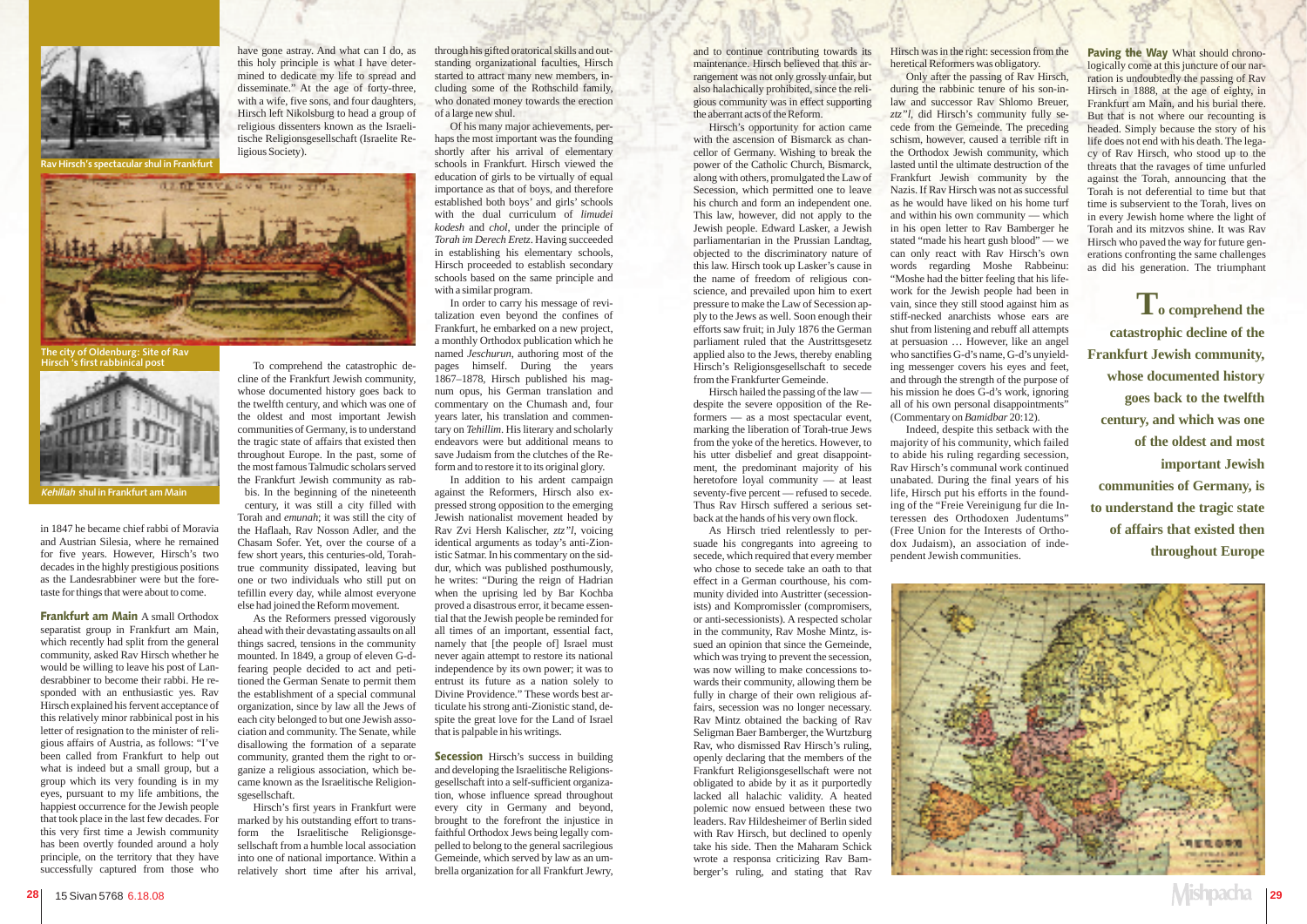in 1847 he became chief rabbi of Moravia and Austrian Silesia, where he remained for five years. However, Hirsch's two decades in the highly prestigious positions as the Landesrabbiner were but the foretaste for things that were about to come.

Frankfurt am Main A small Orthodox separatist group in Frankfurt am Main, which recently had split from the general community, asked Rav Hirsch whether he would be willing to leave his post of Landesrabbiner to become their rabbi. He responded with an enthusiastic yes. Rav Hirsch explained his fervent acceptance of this relatively minor rabbinical post in his letter of resignation to the minister of religious affairs of Austria, as follows: "I've been called from Frankfurt to help out what is indeed but a small group, but a group which its very founding is in my eyes, pursuant to my life ambitions, the happiest occurrence for the Jewish people that took place in the last few decades. For this very first time a Jewish community has been overtly founded around a holy principle, on the territory that they have successfully captured from those who



have gone astray. And what can I do, as this holy principle is what I have determined to dedicate my life to spread and disseminate." At the age of forty-three, with a wife, five sons, and four daughters, Hirsch left Nikolsburg to head a group of religious dissenters known as the Israelitische Religionsgesellschaft (Israelite Religious Society).

To comprehend the catastrophic de-

cline of the Frankfurt Jewish community, whose documented history goes back to the twelfth century, and which was one of the oldest and most important Jewish communities of Germany, is to understand the tragic state of affairs that existed then throughout Europe. In the past, some of the most famous Talmudic scholars served the Frankfurt Jewish community as rabbis. In the beginning of the nineteenth

century, it was still a city filled with Torah and *emunah*; it was still the city of the Haflaah, Rav Nosson Adler, and the Chasam Sofer. Yet, over the course of a few short years, this centuries-old, Torahtrue community dissipated, leaving but one or two individuals who still put on tefillin every day, while almost everyone else had joined the Reform movement.

As the Reformers pressed vigorously ahead with their devastating assaults on all things sacred, tensions in the community mounted. In 1849, a group of eleven G-dfearing people decided to act and petitioned the German Senate to permit them the establishment of a special communal organization, since by law all the Jews of each city belonged to but one Jewish association and community. The Senate, while disallowing the formation of a separate community, granted them the right to organize a religious association, which became known as the Israelitische Religionsgesellschaft.

**Secession** Hirsch's success in building and developing the Israelitische Religionsgesellschaft into a self-sufficient organization, whose influence spread throughout every city in Germany and beyond, brought to the forefront the injustice in faithful Orthodox Jews being legally compelled to belong to the general sacrilegious Gemeinde, which served by law as an umbrella organization for all Frankfurt Jewry,

Hirsch's spectacular shul in I



The city of Oldenburg: Site of Rav Hirsch 's first rabbinical post

Hirsch's first years in Frankfurt were marked by his outstanding effort to transform the Israelitische Religionsgesellschaft from a humble local association into one of national importance. Within a relatively short time after his arrival,

through his gifted oratorical skills and outstanding organizational faculties, Hirsch started to attract many new members, including some of the Rothschild family, who donated money towards the erection of a large new shul.

Of his many major achievements, perhaps the most important was the founding shortly after his arrival of elementary schools in Frankfurt. Hirsch viewed the education of girls to be virtually of equal importance as that of boys, and therefore established both boys' and girls' schools with the dual curriculum of *limudei kodesh* and *chol*, under the principle of *Torah im Derech Eretz*. Having succeeded in establishing his elementary schools, Hirsch proceeded to establish secondary schools based on the same principle and with a similar program.

In order to carry his message of revitalization even beyond the confines of Frankfurt, he embarked on a new project, a monthly Orthodox publication which he named *Jeschurun*, authoring most of the pages himself. During the years 1867–1878, Hirsch published his magnum opus, his German translation and commentary on the Chumash and, four years later, his translation and commentary on *Tehillim*. His literary and scholarly endeavors were but additional means to save Judaism from the clutches of the Reform and to restore it to its original glory.

In addition to his ardent campaign against the Reformers, Hirsch also expressed strong opposition to the emerging Jewish nationalist movement headed by Rav Zvi Hersh Kalischer, *ztz"l*, voicing identical arguments as today's anti-Zionistic Satmar. In his commentary on the siddur, which was published posthumously, he writes: "During the reign of Hadrian when the uprising led by Bar Kochba proved a disastrous error, it became essential that the Jewish people be reminded for all times of an important, essential fact, namely that [the people of] Israel must never again attempt to restore its national independence by its own power; it was to entrust its future as a nation solely to Divine Providence." These words best articulate his strong anti-Zionistic stand, despite the great love for the Land of Israel that is palpable in his writings.

Paving the Way What should chronologically come at this juncture of our narration is undoubtedly the passing of Rav Hirsch in 1888, at the age of eighty, in Frankfurt am Main, and his burial there. But that is not where our recounting is headed. Simply because the story of his life does not end with his death. The legacy of Rav Hirsch, who stood up to the threats that the ravages of time unfurled against the Torah, announcing that the Torah is not deferential to time but that time is subservient to the Torah, lives on in every Jewish home where the light of Torah and its mitzvos shine. It was Rav Hirsch who paved the way for future generations confronting the same challenges as did his generation. The triumphant



and to continue contributing towards its maintenance. Hirsch believed that this arrangement was not only grossly unfair, but also halachically prohibited, since the religious community was in effect supporting the aberrant acts of the Reform.

Hirsch's opportunity for action came with the ascension of Bismarck as chancellor of Germany. Wishing to break the power of the Catholic Church, Bismarck, along with others, promulgated the Law of Secession, which permitted one to leave his church and form an independent one. This law, however, did not apply to the Jewish people. Edward Lasker, a Jewish parliamentarian in the Prussian Landtag, objected to the discriminatory nature of this law. Hirsch took up Lasker's cause in the name of freedom of religious conscience, and prevailed upon him to exert pressure to make the Law of Secession apply to the Jews as well. Soon enough their efforts saw fruit; in July 1876 the German parliament ruled that the Austrittsgesetz applied also to the Jews, thereby enabling Hirsch's Religionsgesellschaft to secede from the Frankfurter Gemeinde.

Hirsch hailed the passing of the law despite the severe opposition of the Reformers — as a most spectacular event, marking the liberation of Torah-true Jews from the yoke of the heretics. However, to his utter disbelief and great disappointment, the predominant majority of his heretofore loyal community — at least seventy-five percent — refused to secede. Thus Rav Hirsch suffered a serious setback at the hands of his very own flock.

As Hirsch tried relentlessly to persuade his congregants into agreeing to secede, which required that every member who chose to secede take an oath to that effect in a German courthouse, his community divided into Austritter (secessionists) and Kompromissler (compromisers, or anti-secessionists). A respected scholar in the community, Rav Moshe Mintz, issued an opinion that since the Gemeinde, which was trying to prevent the secession. was now willing to make concessions towards their community, allowing them be fully in charge of their own religious affairs, secession was no longer necessary. Rav Mintz obtained the backing of Rav Seligman Baer Bamberger, the Wurtzburg Rav, who dismissed Rav Hirsch's ruling, openly declaring that the members of the Frankfurt Religionsgesellschaft were not obligated to abide by it as it purportedly lacked all halachic validity. A heated polemic now ensued between these two leaders. Rav Hildesheimer of Berlin sided with Rav Hirsch, but declined to openly take his side. Then the Maharam Schick wrote a responsa criticizing Rav Bamberger's ruling, and stating that Rav

Hirsch was in the right: secession from the heretical Reformers was obligatory.

Only after the passing of Rav Hirsch, during the rabbinic tenure of his son-inlaw and successor Rav Shlomo Breuer, *ztz"l*, did Hirsch's community fully secede from the Gemeinde. The preceding schism, however, caused a terrible rift in the Orthodox Jewish community, which lasted until the ultimate destruction of the Frankfurt Jewish community by the Nazis. If Rav Hirsch was not as successful as he would have liked on his home turf and within his own community — which in his open letter to Rav Bamberger he stated "made his heart gush blood" — we can only react with Rav Hirsch's own words regarding Moshe Rabbeinu: "Moshe had the bitter feeling that his lifework for the Jewish people had been in vain, since they still stood against him as stiff-necked anarchists whose ears are shut from listening and rebuff all attempts at persuasion … However, like an angel who sanctifies G-d's name, G-d's unyielding messenger covers his eyes and feet, and through the strength of the purpose of his mission he does G-d's work, ignoring all of his own personal disappointments" (Commentary on *Bamidbar* 20:12).

Indeed, despite this setback with the majority of his community, which failed to abide his ruling regarding secession, Rav Hirsch's communal work continued unabated. During the final years of his life, Hirsch put his efforts in the founding of the "Freie Vereinigung fur die Interessen des Orthodoxen Judentums" (Free Union for the Interests of Orthodox Judaism), an association of independent Jewish communities.



**To comprehend the catastrophic decline of the Frankfurt Jewish community, whose documented history goes back to the twelfth century, and which was one of the oldest and most important Jewish communities of Germany, is to understand the tragic state of affairs that existed then throughout Europe**